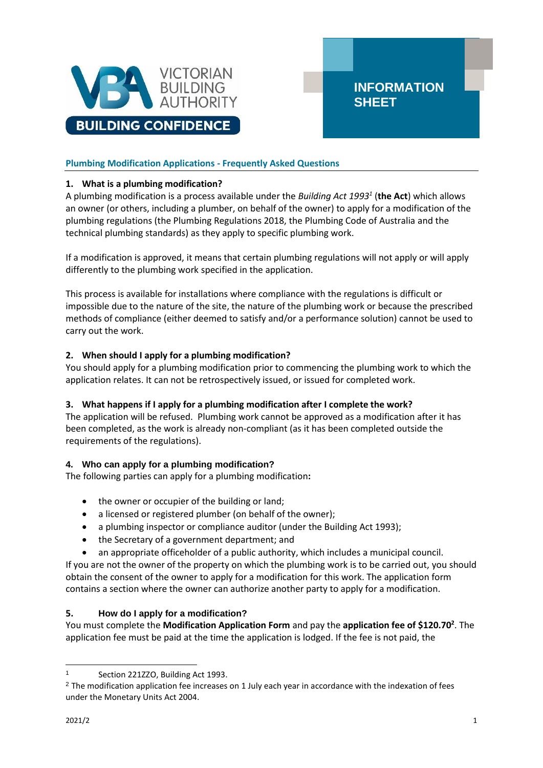

# **Plumbing Modification Applications - Frequently Asked Questions**

### **1. What is a plumbing modification?**

A plumbing modification is a process available under the *Building Act 1993<sup>1</sup>* (**the Act**) which allows an owner (or others, including a plumber, on behalf of the owner) to apply for a modification of the plumbing regulations (the Plumbing Regulations 2018, the Plumbing Code of Australia and the technical plumbing standards) as they apply to specific plumbing work.

**INFORMATION** 

**SHEET**

If a modification is approved, it means that certain plumbing regulations will not apply or will apply differently to the plumbing work specified in the application.

This process is available for installations where compliance with the regulations is difficult or impossible due to the nature of the site, the nature of the plumbing work or because the prescribed methods of compliance (either deemed to satisfy and/or a performance solution) cannot be used to carry out the work.

## **2. When should I apply for a plumbing modification?**

You should apply for a plumbing modification prior to commencing the plumbing work to which the application relates. It can not be retrospectively issued, or issued for completed work.

### **3. What happens if I apply for a plumbing modification after I complete the work?**

The application will be refused. Plumbing work cannot be approved as a modification after it has been completed, as the work is already non-compliant (as it has been completed outside the requirements of the regulations).

### **4. Who can apply for a plumbing modification?**

The following parties can apply for a plumbing modification**:**

- the owner or occupier of the building or land;
- a licensed or registered plumber (on behalf of the owner);
- a plumbing inspector or compliance auditor (under the Building Act 1993);
- the Secretary of a government department; and
- an appropriate officeholder of a public authority, which includes a municipal council.

If you are not the owner of the property on which the plumbing work is to be carried out, you should obtain the consent of the owner to apply for a modification for this work. The application form contains a section where the owner can authorize another party to apply for a modification.

### **5. How do I apply for a modification?**

You must complete the **Modification Application Form** and pay the **application fee of \$120.70<sup>2</sup>** . The application fee must be paid at the time the application is lodged. If the fee is not paid, the

Section 221ZZO, Building Act 1993.

<sup>&</sup>lt;sup>2</sup> The modification application fee increases on 1 July each year in accordance with the indexation of fees under the Monetary Units Act 2004.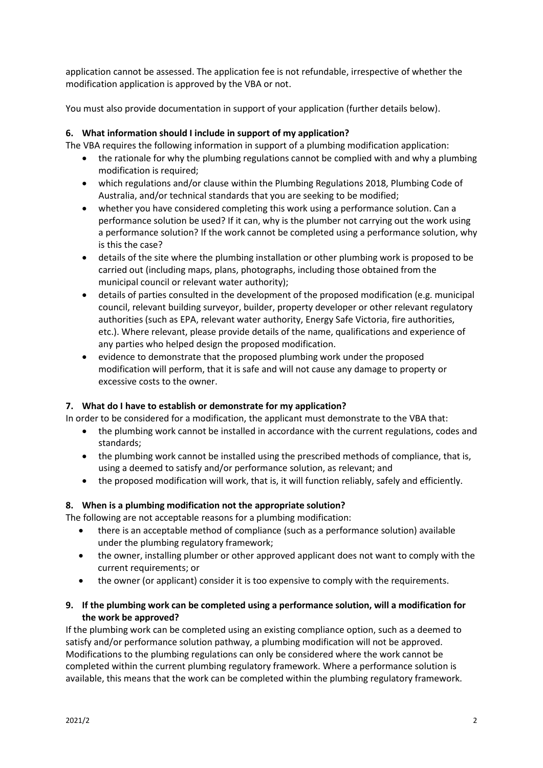application cannot be assessed. The application fee is not refundable, irrespective of whether the modification application is approved by the VBA or not.

You must also provide documentation in support of your application (further details below).

### **6. What information should I include in support of my application?**

The VBA requires the following information in support of a plumbing modification application:

- the rationale for why the plumbing regulations cannot be complied with and why a plumbing modification is required;
- which regulations and/or clause within the Plumbing Regulations 2018, Plumbing Code of Australia, and/or technical standards that you are seeking to be modified;
- whether you have considered completing this work using a performance solution. Can a performance solution be used? If it can, why is the plumber not carrying out the work using a performance solution? If the work cannot be completed using a performance solution, why is this the case?
- details of the site where the plumbing installation or other plumbing work is proposed to be carried out (including maps, plans, photographs, including those obtained from the municipal council or relevant water authority);
- details of parties consulted in the development of the proposed modification (e.g. municipal council, relevant building surveyor, builder, property developer or other relevant regulatory authorities (such as EPA, relevant water authority, Energy Safe Victoria, fire authorities, etc.). Where relevant, please provide details of the name, qualifications and experience of any parties who helped design the proposed modification.
- evidence to demonstrate that the proposed plumbing work under the proposed modification will perform, that it is safe and will not cause any damage to property or excessive costs to the owner.

### **7. What do I have to establish or demonstrate for my application?**

In order to be considered for a modification, the applicant must demonstrate to the VBA that:

- the plumbing work cannot be installed in accordance with the current regulations, codes and standards;
- the plumbing work cannot be installed using the prescribed methods of compliance, that is, using a deemed to satisfy and/or performance solution, as relevant; and
- the proposed modification will work, that is, it will function reliably, safely and efficiently.

### **8. When is a plumbing modification not the appropriate solution?**

The following are not acceptable reasons for a plumbing modification:

- there is an acceptable method of compliance (such as a performance solution) available under the plumbing regulatory framework;
- the owner, installing plumber or other approved applicant does not want to comply with the current requirements; or
- the owner (or applicant) consider it is too expensive to comply with the requirements.

## **9. If the plumbing work can be completed using a performance solution, will a modification for the work be approved?**

If the plumbing work can be completed using an existing compliance option, such as a deemed to satisfy and/or performance solution pathway, a plumbing modification will not be approved. Modifications to the plumbing regulations can only be considered where the work cannot be completed within the current plumbing regulatory framework. Where a performance solution is available, this means that the work can be completed within the plumbing regulatory framework.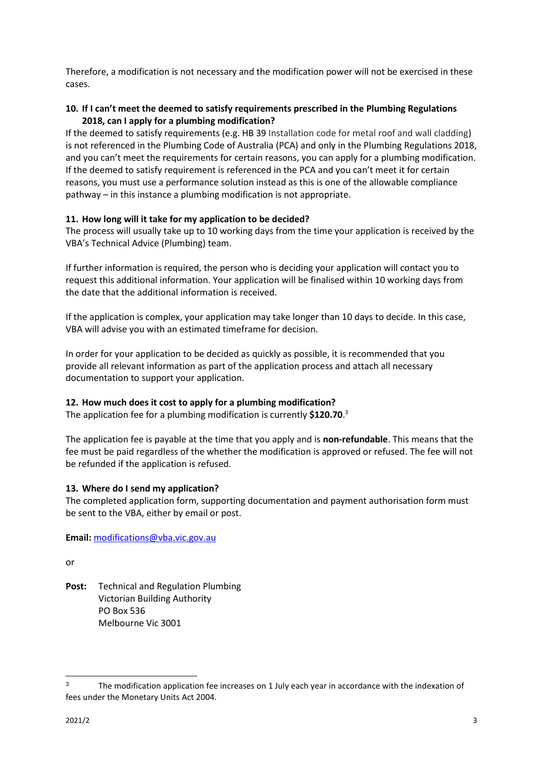Therefore, a modification is not necessary and the modification power will not be exercised in these cases.

## **10. If I can't meet the deemed to satisfy requirements prescribed in the Plumbing Regulations 2018, can I apply for a plumbing modification?**

If the deemed to satisfy requirements (e.g. HB 39 Installation code for metal roof and wall cladding) is not referenced in the Plumbing Code of Australia (PCA) and only in the Plumbing Regulations 2018, and you can't meet the requirements for certain reasons, you can apply for a plumbing modification. If the deemed to satisfy requirement is referenced in the PCA and you can't meet it for certain reasons, you must use a performance solution instead as this is one of the allowable compliance pathway – in this instance a plumbing modification is not appropriate.

## **11. How long will it take for my application to be decided?**

The process will usually take up to 10 working days from the time your application is received by the VBA's Technical Advice (Plumbing) team.

If further information is required, the person who is deciding your application will contact you to request this additional information. Your application will be finalised within 10 working days from the date that the additional information is received.

If the application is complex, your application may take longer than 10 days to decide. In this case, VBA will advise you with an estimated timeframe for decision.

In order for your application to be decided as quickly as possible, it is recommended that you provide all relevant information as part of the application process and attach all necessary documentation to support your application.

## **12. How much does it cost to apply for a plumbing modification?**

The application fee for a plumbing modification is currently **\$120.70**. 3

The application fee is payable at the time that you apply and is **non-refundable**. This means that the fee must be paid regardless of the whether the modification is approved or refused. The fee will not be refunded if the application is refused.

### **13. Where do I send my application?**

The completed application form, supporting documentation and payment authorisation form must be sent to the VBA, either by email or post.

**Email:** [modifications@vba.vic.gov.au](mailto:modifications@vba.vic.gov.au)

or

**Post:** Technical and Regulation Plumbing Victorian Building Authority PO Box 536 Melbourne Vic 3001

<sup>&</sup>lt;sup>3</sup> The modification application fee increases on 1 July each year in accordance with the indexation of fees under the Monetary Units Act 2004.